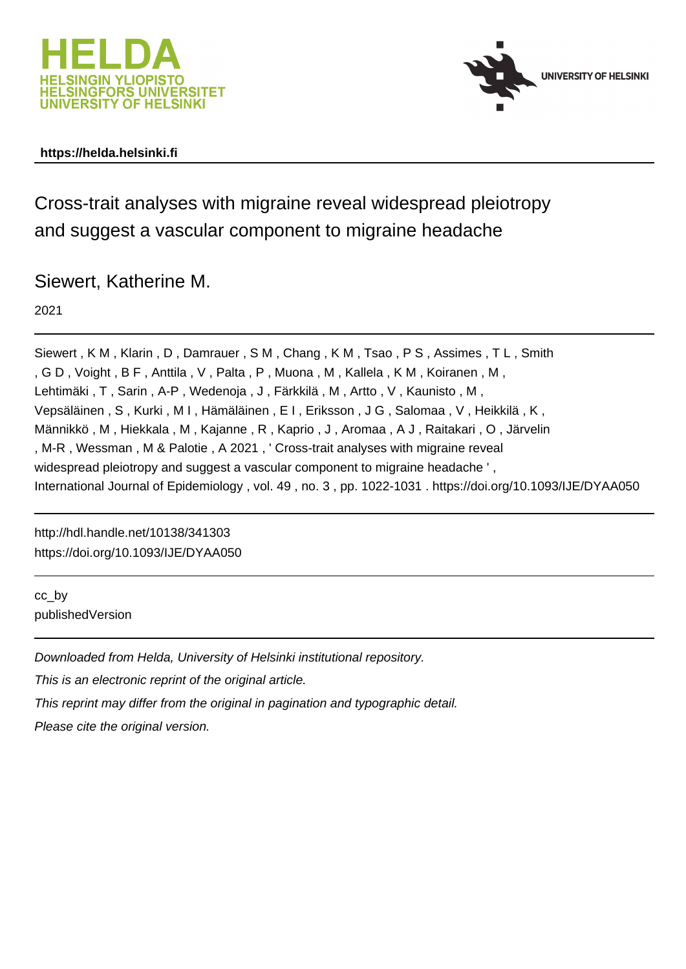



# **https://helda.helsinki.fi**

Cross-trait analyses with migraine reveal widespread pleiotropy and suggest a vascular component to migraine headache

# Siewert, Katherine M.

2021

Siewert , K M , Klarin , D , Damrauer , S M , Chang , K M , Tsao , P S , Assimes , T L , Smith , G D , Voight , B F , Anttila , V , Palta , P , Muona , M , Kallela , K M , Koiranen , M , Lehtimäki , T , Sarin , A-P , Wedenoja , J , Färkkilä , M , Artto , V , Kaunisto , M , Vepsäläinen , S , Kurki , M I , Hämäläinen , E I , Eriksson , J G , Salomaa , V , Heikkilä , K , Männikkö , M , Hiekkala , M , Kajanne , R , Kaprio , J , Aromaa , A J , Raitakari , O , Järvelin , M-R , Wessman , M & Palotie , A 2021 , ' Cross-trait analyses with migraine reveal widespread pleiotropy and suggest a vascular component to migraine headache ', International Journal of Epidemiology , vol. 49 , no. 3 , pp. 1022-1031 . https://doi.org/10.1093/IJE/DYAA050

http://hdl.handle.net/10138/341303 https://doi.org/10.1093/IJE/DYAA050

cc\_by publishedVersion

Downloaded from Helda, University of Helsinki institutional repository. This is an electronic reprint of the original article. This reprint may differ from the original in pagination and typographic detail. Please cite the original version.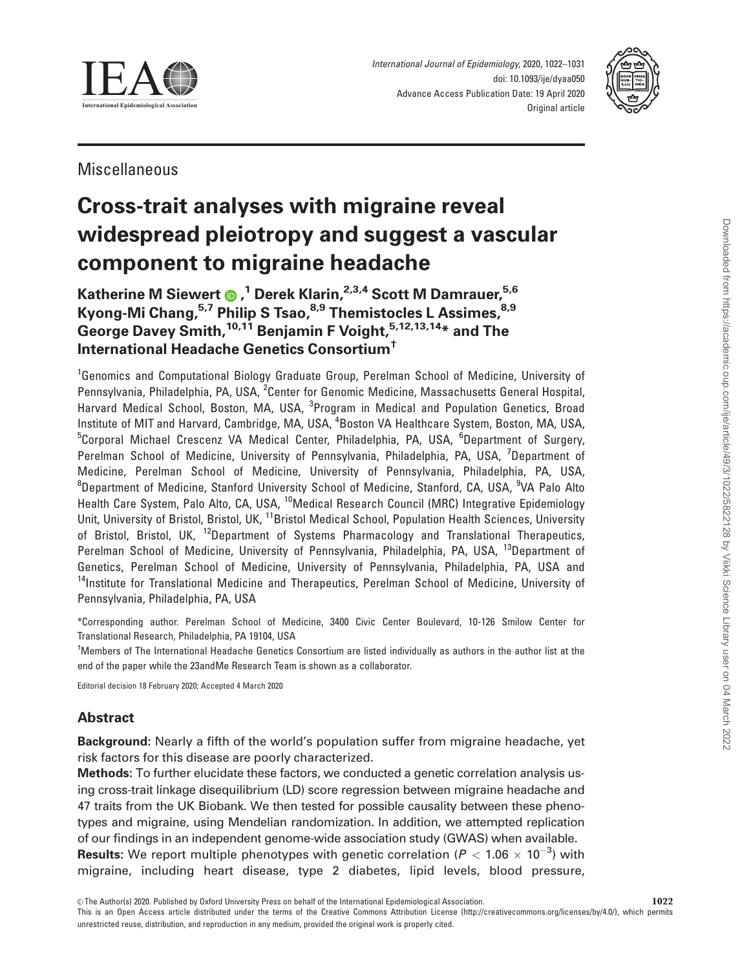

International Journal of Epidemiology, 2020, 1022–1031 doi: 10.1093/ije/dyaa050 Advance Access Publication Date: 19 April 2020 Original article



Miscellaneous

# Cross-trait analyses with migraine reveal widespread pleiotropy and suggest a vascular component to migraine headache

Katherine M Siewert **®** ,<sup>1</sup> Derek Klarin,<sup>2,3,4</sup> Scott M Damrauer,<sup>5,6</sup> Kyong-Mi Chang,<sup>5,7</sup> Philip S Tsao,<sup>8,9</sup> Themistocles L Assimes, 8,9 George Davey Smith,<sup>10,11</sup> Benjamin F Voight,<sup>5,12,13,14</sup>\* and The International Headache Genetics Consortium†

<sup>1</sup>Genomics and Computational Biology Graduate Group, Perelman School of Medicine, University of Pennsylvania, Philadelphia, PA, USA, <sup>2</sup>Center for Genomic Medicine, Massachusetts General Hospital, Harvard Medical School, Boston, MA, USA, <sup>3</sup>Program in Medical and Population Genetics, Broad Institute of MIT and Harvard, Cambridge, MA, USA, <sup>4</sup>Boston VA Healthcare System, Boston, MA, USA, <sup>5</sup>Corporal Michael Crescenz VA Medical Center, Philadelphia, PA, USA, <sup>6</sup>Department of Surgery, Perelman School of Medicine, University of Pennsylvania, Philadelphia, PA, USA, <sup>7</sup>Department of Medicine, Perelman School of Medicine, University of Pennsylvania, Philadelphia, PA, USA, <sup>8</sup>Department of Medicine, Stanford University School of Medicine, Stanford, CA, USA, <sup>9</sup>VA Palo Alto Health Care System, Palo Alto, CA, USA, <sup>10</sup>Medical Research Council (MRC) Integrative Epidemiology Unit, University of Bristol, Bristol, UK, <sup>11</sup>Bristol Medical School, Population Health Sciences, University of Bristol, Bristol, UK, <sup>12</sup>Department of Systems Pharmacology and Translational Therapeutics, Perelman School of Medicine, University of Pennsylvania, Philadelphia, PA, USA, <sup>13</sup>Department of Genetics, Perelman School of Medicine, University of Pennsylvania, Philadelphia, PA, USA and <sup>14</sup>Institute for Translational Medicine and Therapeutics, Perelman School of Medicine, University of Pennsylvania, Philadelphia, PA, USA

\*Corresponding author. Perelman School of Medicine, 3400 Civic Center Boulevard, 10-126 Smilow Center for Translational Research, Philadelphia, PA 19104, USA

<sup>†</sup>Members of The International Headache Genetics Consortium are listed individually as authors in the author list at the end of the paper while the 23andMe Research Team is shown as a collaborator.

Editorial decision 18 February 2020; Accepted 4 March 2020

# Abstract

Background: Nearly a fifth of the world's population suffer from migraine headache, yet risk factors for this disease are poorly characterized.

Methods: To further elucidate these factors, we conducted a genetic correlation analysis using cross-trait linkage disequilibrium (LD) score regression between migraine headache and 47 traits from the UK Biobank. We then tested for possible causality between these phenotypes and migraine, using Mendelian randomization. In addition, we attempted replication of our findings in an independent genome-wide association study (GWAS) when available. **Results:** We report multiple phenotypes with genetic correlation ( $P < 1.06 \times 10^{-3}$ ) with migraine, including heart disease, type 2 diabetes, lipid levels, blood pressure,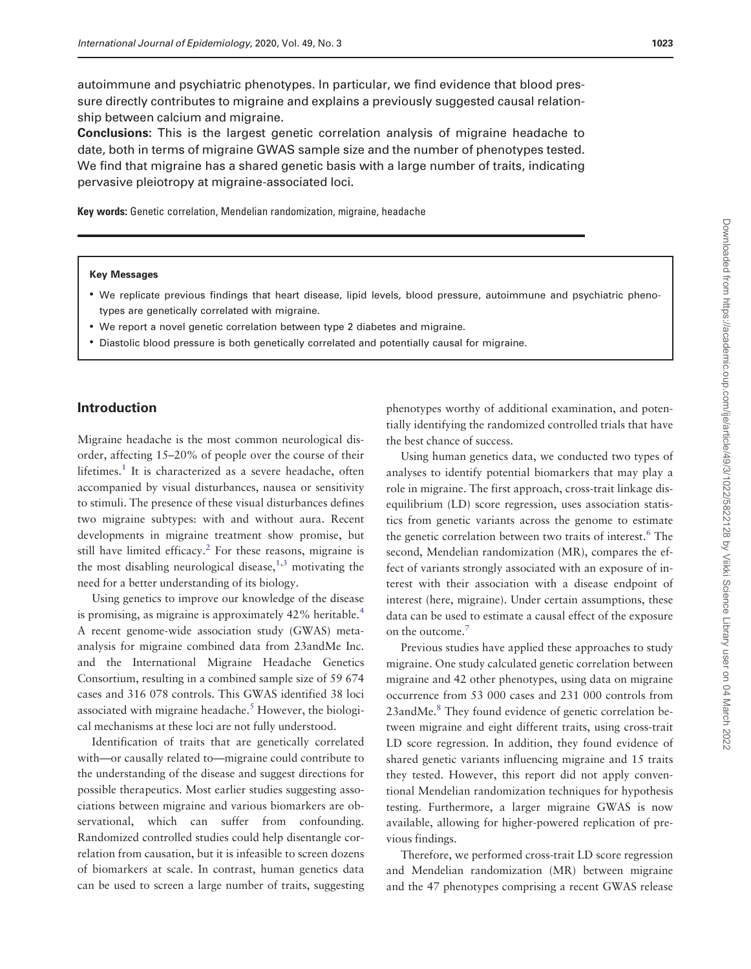autoimmune and psychiatric phenotypes. In particular, we find evidence that blood pressure directly contributes to migraine and explains a previously suggested causal relationship between calcium and migraine.

Conclusions: This is the largest genetic correlation analysis of migraine headache to date, both in terms of migraine GWAS sample size and the number of phenotypes tested. We find that migraine has a shared genetic basis with a large number of traits, indicating pervasive pleiotropy at migraine-associated loci.

Key words: Genetic correlation, Mendelian randomization, migraine, headache

#### Key Messages

- We replicate previous findings that heart disease, lipid levels, blood pressure, autoimmune and psychiatric phenotypes are genetically correlated with migraine.
- We report a novel genetic correlation between type 2 diabetes and migraine.
- Diastolic blood pressure is both genetically correlated and potentially causal for migraine.

#### Introduction

Migraine headache is the most common neurological disorder, affecting 15–20% of people over the course of their lifetimes. $<sup>1</sup>$  It is characterized as a severe headache, often</sup> accompanied by visual disturbances, nausea or sensitivity to stimuli. The presence of these visual disturbances defines two migraine subtypes: with and without aura. Recent developments in migraine treatment show promise, but still have limited efficacy. $2$  For these reasons, migraine is the most disabling neurological disease,  $1,3$  motivating the need for a better understanding of its biology.

Using genetics to improve our knowledge of the disease is promising, as migraine is approximately 42% heritable.<sup>4</sup> A recent genome-wide association study (GWAS) metaanalysis for migraine combined data from 23andMe Inc. and the International Migraine Headache Genetics Consortium, resulting in a combined sample size of 59 674 cases and 316 078 controls. This GWAS identified 38 loci associated with migraine headache.<sup>5</sup> However, the biological mechanisms at these loci are not fully understood.

Identification of traits that are genetically correlated with—or causally related to—migraine could contribute to the understanding of the disease and suggest directions for possible therapeutics. Most earlier studies suggesting associations between migraine and various biomarkers are observational, which can suffer from confounding. Randomized controlled studies could help disentangle correlation from causation, but it is infeasible to screen dozens of biomarkers at scale. In contrast, human genetics data can be used to screen a large number of traits, suggesting

phenotypes worthy of additional examination, and potentially identifying the randomized controlled trials that have the best chance of success.

Using human genetics data, we conducted two types of analyses to identify potential biomarkers that may play a role in migraine. The first approach, cross-trait linkage disequilibrium (LD) score regression, uses association statistics from genetic variants across the genome to estimate the genetic correlation between two traits of interest.<sup>6</sup> The second, Mendelian randomization (MR), compares the effect of variants strongly associated with an exposure of interest with their association with a disease endpoint of interest (here, migraine). Under certain assumptions, these data can be used to estimate a causal effect of the exposure on the outcome.<sup>7</sup>

Previous studies have applied these approaches to study migraine. One study calculated genetic correlation between migraine and 42 other phenotypes, using data on migraine occurrence from 53 000 cases and 231 000 controls from 23andMe.<sup>8</sup> They found evidence of genetic correlation between migraine and eight different traits, using cross-trait LD score regression. In addition, they found evidence of shared genetic variants influencing migraine and 15 traits they tested. However, this report did not apply conventional Mendelian randomization techniques for hypothesis testing. Furthermore, a larger migraine GWAS is now available, allowing for higher-powered replication of previous findings.

Therefore, we performed cross-trait LD score regression and Mendelian randomization (MR) between migraine and the 47 phenotypes comprising a recent GWAS release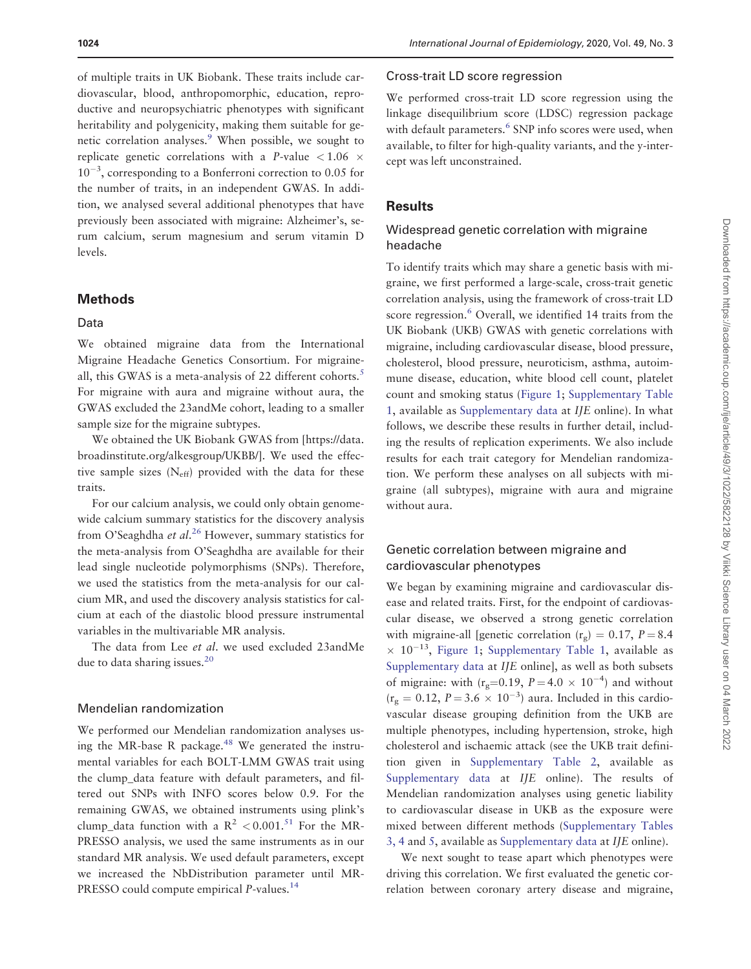of multiple traits in UK Biobank. These traits include cardiovascular, blood, anthropomorphic, education, reproductive and neuropsychiatric phenotypes with significant heritability and polygenicity, making them suitable for genetic correlation analyses.<sup>9</sup> When possible, we sought to replicate genetic correlations with a P-value  $< 1.06 \times$  $10^{-3}$ , corresponding to a Bonferroni correction to 0.05 for the number of traits, in an independent GWAS. In addition, we analysed several additional phenotypes that have previously been associated with migraine: Alzheimer's, serum calcium, serum magnesium and serum vitamin D levels.

#### Methods

#### Data

We obtained migraine data from the International Migraine Headache Genetics Consortium. For migraineall, this GWAS is a meta-analysis of 22 different cohorts.<sup>5</sup> For migraine with aura and migraine without aura, the GWAS excluded the 23andMe cohort, leading to a smaller sample size for the migraine subtypes.

We obtained the UK Biobank GWAS from [\[https://data.](https://data.broadinstitute.org/alkesgroup/UKBB/].We) [broadinstitute.org/alkesgroup/UKBB/\]. We](https://data.broadinstitute.org/alkesgroup/UKBB/].We) used the effective sample sizes  $(N_{\text{eff}})$  provided with the data for these traits.

For our calcium analysis, we could only obtain genomewide calcium summary statistics for the discovery analysis from O'Seaghdha et al.<sup>26</sup> However, summary statistics for the meta-analysis from O'Seaghdha are available for their lead single nucleotide polymorphisms (SNPs). Therefore, we used the statistics from the meta-analysis for our calcium MR, and used the discovery analysis statistics for calcium at each of the diastolic blood pressure instrumental variables in the multivariable MR analysis.

The data from Lee et al. we used excluded 23andMe due to data sharing issues.<sup>20</sup>

#### Mendelian randomization

We performed our Mendelian randomization analyses using the MR-base R package.<sup>48</sup> We generated the instrumental variables for each BOLT-LMM GWAS trait using the clump\_data feature with default parameters, and filtered out SNPs with INFO scores below 0.9. For the remaining GWAS, we obtained instruments using plink's clump data function with a  $R^2 < 0.001$ .<sup>51</sup> For the MR-PRESSO analysis, we used the same instruments as in our standard MR analysis. We used default parameters, except we increased the NbDistribution parameter until MR-PRESSO could compute empirical P-values.<sup>14</sup>

#### Cross-trait LD score regression

We performed cross-trait LD score regression using the linkage disequilibrium score (LDSC) regression package with default parameters.<sup>6</sup> SNP info scores were used, when available, to filter for high-quality variants, and the y-intercept was left unconstrained.

#### **Results**

#### Widespread genetic correlation with migraine headache

To identify traits which may share a genetic basis with migraine, we first performed a large-scale, cross-trait genetic correlation analysis, using the framework of cross-trait LD score regression.<sup>6</sup> Overall, we identified 14 traits from the UK Biobank (UKB) GWAS with genetic correlations with migraine, including cardiovascular disease, blood pressure, cholesterol, blood pressure, neuroticism, asthma, autoimmune disease, education, white blood cell count, platelet count and smoking status (Figure 1; [Supplementary Table](https://academic.oup.com/ije/article-lookup/doi/10.1093/ije/dyaa050#supplementary-data) [1](https://academic.oup.com/ije/article-lookup/doi/10.1093/ije/dyaa050#supplementary-data), available as [Supplementary data](https://academic.oup.com/ije/article-lookup/doi/10.1093/ije/dyaa050#supplementary-data) at IJE online). In what follows, we describe these results in further detail, including the results of replication experiments. We also include results for each trait category for Mendelian randomization. We perform these analyses on all subjects with migraine (all subtypes), migraine with aura and migraine without aura.

#### Genetic correlation between migraine and cardiovascular phenotypes

We began by examining migraine and cardiovascular disease and related traits. First, for the endpoint of cardiovascular disease, we observed a strong genetic correlation with migraine-all [genetic correlation  $(r<sub>e</sub>) = 0.17$ ,  $P = 8.4$  $\times$  10<sup>-13</sup>, Figure 1; [Supplementary Table 1](https://academic.oup.com/ije/article-lookup/doi/10.1093/ije/dyaa050#supplementary-data), available as [Supplementary data](https://academic.oup.com/ije/article-lookup/doi/10.1093/ije/dyaa050#supplementary-data) at IJE online], as well as both subsets of migraine: with  $(r_g=0.19, P=4.0 \times 10^{-4})$  and without  $(r<sub>g</sub> = 0.12, P = 3.6 \times 10^{-3})$  aura. Included in this cardiovascular disease grouping definition from the UKB are multiple phenotypes, including hypertension, stroke, high cholesterol and ischaemic attack (see the UKB trait definition given in [Supplementary Table 2,](https://academic.oup.com/ije/article-lookup/doi/10.1093/ije/dyaa050#supplementary-data) available as [Supplementary data](https://academic.oup.com/ije/article-lookup/doi/10.1093/ije/dyaa050#supplementary-data) at IJE online). The results of Mendelian randomization analyses using genetic liability to cardiovascular disease in UKB as the exposure were mixed between different methods [\(Supplementary Tables](https://academic.oup.com/ije/article-lookup/doi/10.1093/ije/dyaa050#supplementary-data) [3, 4](https://academic.oup.com/ije/article-lookup/doi/10.1093/ije/dyaa050#supplementary-data) and [5,](https://academic.oup.com/ije/article-lookup/doi/10.1093/ije/dyaa050#supplementary-data) available as [Supplementary data](https://academic.oup.com/ije/article-lookup/doi/10.1093/ije/dyaa050#supplementary-data) at IJE online).

We next sought to tease apart which phenotypes were driving this correlation. We first evaluated the genetic correlation between coronary artery disease and migraine,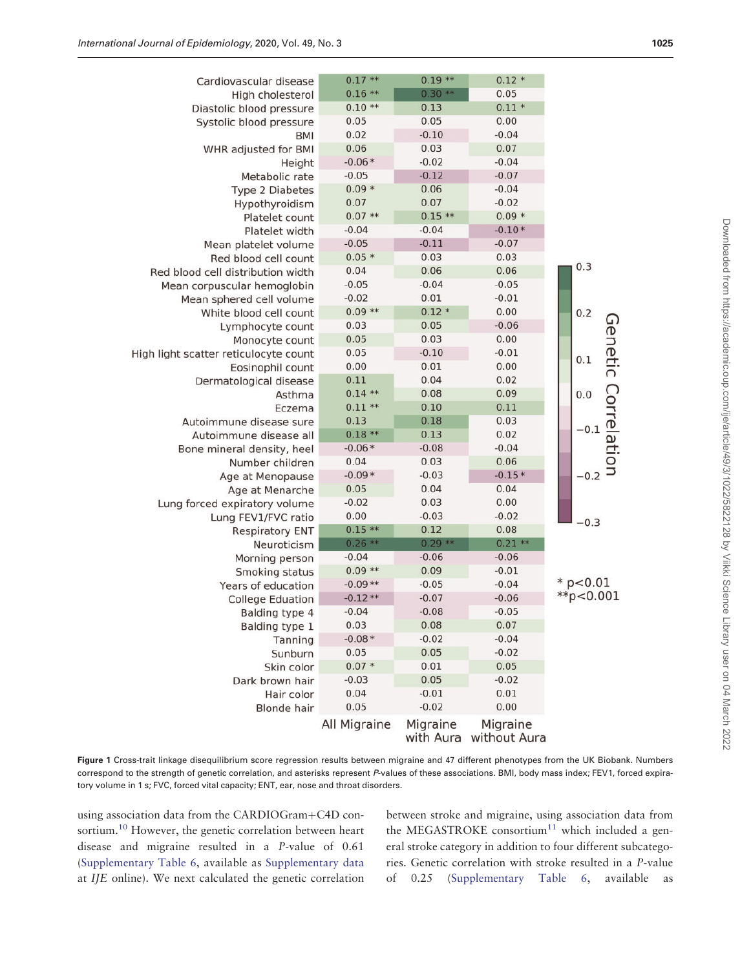| Cardiovascular disease                | $0.17**$     | $0.19**$  | $0.12 *$                           |                     |
|---------------------------------------|--------------|-----------|------------------------------------|---------------------|
| High cholesterol                      | $0.16**$     | $0.30**$  | 0.05                               |                     |
| Diastolic blood pressure              | $0.10**$     | 0.13      | $0.11 *$                           |                     |
| Systolic blood pressure               | 0.05         | 0.05      | 0.00                               |                     |
| <b>BMI</b>                            | 0.02         | $-0.10$   | $-0.04$                            |                     |
| WHR adjusted for BMI                  | 0.06         | 0.03      | 0.07                               |                     |
| Height                                | $-0.06*$     | $-0.02$   | $-0.04$                            |                     |
| Metabolic rate                        | $-0.05$      | $-0.12$   | $-0.07$                            |                     |
| <b>Type 2 Diabetes</b>                | $0.09*$      | 0.06      | $-0.04$                            |                     |
| Hypothyroidism                        | 0.07         | 0.07      | $-0.02$                            |                     |
| Platelet count                        | $0.07**$     | $0.15**$  | $0.09 *$                           |                     |
| Platelet width                        | $-0.04$      | $-0.04$   | $-0.10*$                           |                     |
| Mean platelet volume                  | $-0.05$      | $-0.11$   | $-0.07$                            |                     |
| Red blood cell count                  | $0.05*$      | 0.03      | 0.03                               | 0.3                 |
| Red blood cell distribution width     | 0.04         | 0.06      | 0.06                               |                     |
| Mean corpuscular hemoglobin           | $-0.05$      | $-0.04$   | $-0.05$                            |                     |
| Mean sphered cell volume              | $-0.02$      | 0.01      | $-0.01$                            |                     |
| White blood cell count                | $0.09**$     | $0.12 *$  | 0.00                               | 0.2                 |
| Lymphocyte count                      | 0.03         | 0.05      | $-0.06$                            |                     |
| Monocyte count                        | 0.05         | 0.03      | 0.00                               |                     |
| High light scatter reticulocyte count | 0.05         | $-0.10$   | $-0.01$                            | 0.1                 |
| Eosinophil count                      | 0.00         | 0.01      | 0.00                               | Genetic Correlatior |
| Dermatological disease                | 0.11         | 0.04      | 0.02                               |                     |
| Asthma                                | $0.14**$     | 0.08      | 0.09                               | 0.0                 |
| Eczema                                | $0.11**$     | 0.10      | 0.11                               |                     |
| Autoimmune disease sure               | 0.13         | 0.18      | 0.03                               |                     |
| Autoimmune disease all                | $0.18**$     | 0.13      | 0.02                               | $-0.1$              |
| Bone mineral density, heel            | $-0.06*$     | $-0.08$   | $-0.04$                            |                     |
| Number children                       | 0.04         | 0.03      | 0.06                               |                     |
| Age at Menopause                      | $-0.09*$     | $-0.03$   | $-0.15*$                           | $-0.2$              |
| Age at Menarche                       | 0.05         | 0.04      | 0.04                               |                     |
| Lung forced expiratory volume         | $-0.02$      | 0.03      | 0.00                               |                     |
| Lung FEV1/FVC ratio                   | 0.00         | $-0.03$   | $-0.02$                            | $-0.3$              |
| <b>Respiratory ENT</b>                | $0.15**$     | 0.12      | 0.08                               |                     |
| Neuroticism                           | $0.26$ **    | $0.29$ ** | $0.21**$                           |                     |
| Morning person                        | $-0.04$      | $-0.06$   | $-0.06$                            |                     |
| Smoking status                        | $0.09$ **    | 0.09      | $-0.01$                            |                     |
| Years of education                    | $-0.09**$    | $-0.05$   | $-0.04$                            | $*$ p<0.01          |
| <b>College Eduation</b>               | $-0.12**$    | $-0.07$   | $-0.06$                            | $*$ $p$ <0.001      |
| Balding type 4                        | $-0.04$      | $-0.08$   | $-0.05$                            |                     |
| Balding type 1                        | 0.03         | 0.08      | 0.07                               |                     |
| Tanning                               | $-0.08*$     | $-0.02$   | $-0.04$                            |                     |
| Sunburn                               | 0.05         | 0.05      | $-0.02$                            |                     |
| Skin color                            | $0.07 *$     | 0.01      | 0.05                               |                     |
| Dark brown hair                       | $-0.03$      | 0.05      | $-0.02$                            |                     |
| Hair color                            | 0.04         | $-0.01$   | 0.01                               |                     |
| <b>Blonde hair</b>                    | 0.05         | $-0.02$   | 0.00                               |                     |
|                                       | All Migraine | Migraine  | Migraine<br>with Aura without Aura |                     |

Figure 1 Cross-trait linkage disequilibrium score regression results between migraine and 47 different phenotypes from the UK Biobank. Numbers correspond to the strength of genetic correlation, and asterisks represent P-values of these associations. BMI, body mass index; FEV1, forced expiratory volume in 1 s; FVC, forced vital capacity; ENT, ear, nose and throat disorders.

using association data from the CARDIOGram+C4D consortium.<sup>10</sup> However, the genetic correlation between heart disease and migraine resulted in a P-value of 0.61 [\(Supplementary Table 6](https://academic.oup.com/ije/article-lookup/doi/10.1093/ije/dyaa050#supplementary-data), available as [Supplementary data](https://academic.oup.com/ije/article-lookup/doi/10.1093/ije/dyaa050#supplementary-data) at IJE online). We next calculated the genetic correlation between stroke and migraine, using association data from the MEGASTROKE consortium<sup>11</sup> which included a general stroke category in addition to four different subcategories. Genetic correlation with stroke resulted in a P-value of 0.25 [\(Supplementary Table 6](https://academic.oup.com/ije/article-lookup/doi/10.1093/ije/dyaa050#supplementary-data), available as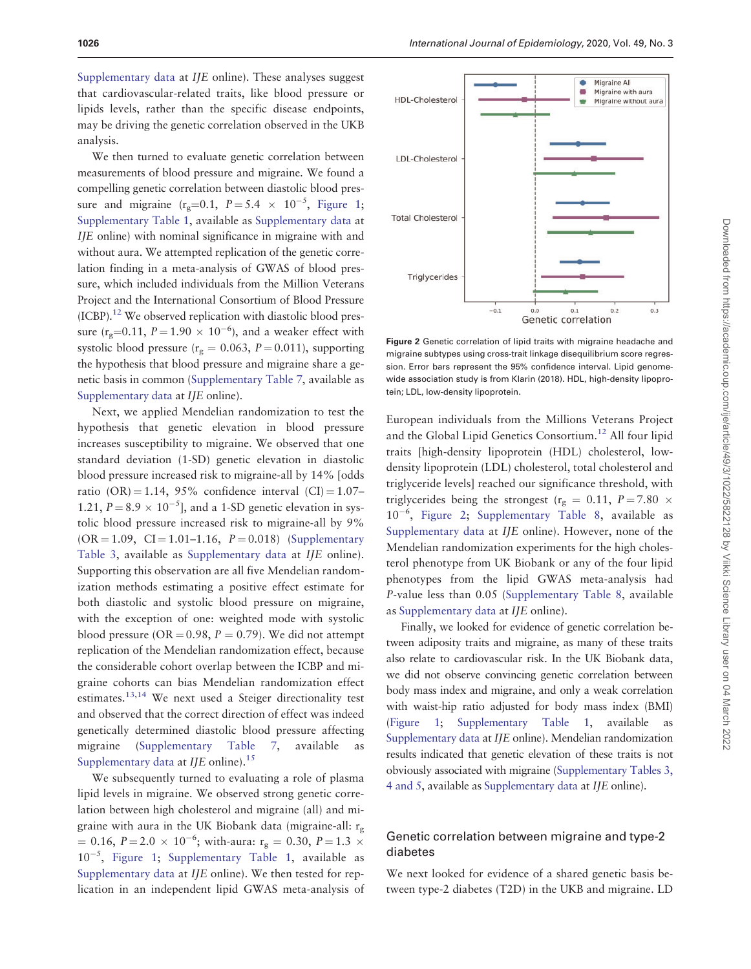[Supplementary data](https://academic.oup.com/ije/article-lookup/doi/10.1093/ije/dyaa050#supplementary-data) at IJE online). These analyses suggest that cardiovascular-related traits, like blood pressure or lipids levels, rather than the specific disease endpoints, may be driving the genetic correlation observed in the UKB analysis.

We then turned to evaluate genetic correlation between measurements of blood pressure and migraine. We found a compelling genetic correlation between diastolic blood pressure and migraine  $(r_g=0.1, P=5.4 \times 10^{-5}, Figure 1;$ [Supplementary Table 1](https://academic.oup.com/ije/article-lookup/doi/10.1093/ije/dyaa050#supplementary-data), available as [Supplementary data](https://academic.oup.com/ije/article-lookup/doi/10.1093/ije/dyaa050#supplementary-data) at IJE online) with nominal significance in migraine with and without aura. We attempted replication of the genetic correlation finding in a meta-analysis of GWAS of blood pressure, which included individuals from the Million Veterans Project and the International Consortium of Blood Pressure  $(ICBP).$ <sup>12</sup> We observed replication with diastolic blood pressure ( $r_g$ =0.11,  $P = 1.90 \times 10^{-6}$ ), and a weaker effect with systolic blood pressure ( $r_g = 0.063$ ,  $P = 0.011$ ), supporting the hypothesis that blood pressure and migraine share a genetic basis in common [\(Supplementary Table 7,](https://academic.oup.com/ije/article-lookup/doi/10.1093/ije/dyaa050#supplementary-data) available as [Supplementary data](https://academic.oup.com/ije/article-lookup/doi/10.1093/ije/dyaa050#supplementary-data) at IJE online).

Next, we applied Mendelian randomization to test the hypothesis that genetic elevation in blood pressure increases susceptibility to migraine. We observed that one standard deviation (1-SD) genetic elevation in diastolic blood pressure increased risk to migraine-all by 14% [odds ratio (OR) = 1.14, 95% confidence interval (CI) =  $1.07-$ 1.21,  $P = 8.9 \times 10^{-5}$ ], and a 1-SD genetic elevation in systolic blood pressure increased risk to migraine-all by 9%  $(OR = 1.09, CI = 1.01 - 1.16, P = 0.018)$  ([Supplementary](https://academic.oup.com/ije/article-lookup/doi/10.1093/ije/dyaa050#supplementary-data) [Table 3,](https://academic.oup.com/ije/article-lookup/doi/10.1093/ije/dyaa050#supplementary-data) available as [Supplementary data](https://academic.oup.com/ije/article-lookup/doi/10.1093/ije/dyaa050#supplementary-data) at IJE online). Supporting this observation are all five Mendelian randomization methods estimating a positive effect estimate for both diastolic and systolic blood pressure on migraine, with the exception of one: weighted mode with systolic blood pressure ( $OR = 0.98$ ,  $P = 0.79$ ). We did not attempt replication of the Mendelian randomization effect, because the considerable cohort overlap between the ICBP and migraine cohorts can bias Mendelian randomization effect estimates.13,14 We next used a Steiger directionality test and observed that the correct direction of effect was indeed genetically determined diastolic blood pressure affecting migraine ([Supplementary Table 7,](https://academic.oup.com/ije/article-lookup/doi/10.1093/ije/dyaa050#supplementary-data) available as [Supplementary data](https://academic.oup.com/ije/article-lookup/doi/10.1093/ije/dyaa050#supplementary-data) at  $I/E$  online).<sup>15</sup>

We subsequently turned to evaluating a role of plasma lipid levels in migraine. We observed strong genetic correlation between high cholesterol and migraine (all) and migraine with aura in the UK Biobank data (migraine-all:  $r_{\varphi}$ )  $\kappa = 0.16, P = 2.0 \times 10^{-6}$ ; with-aura: r<sub>g</sub> = 0.30, P = 1.3  $\times$  $10^{-5}$ , Figure 1; [Supplementary Table 1,](https://academic.oup.com/ije/article-lookup/doi/10.1093/ije/dyaa050#supplementary-data) available as [Supplementary data](https://academic.oup.com/ije/article-lookup/doi/10.1093/ije/dyaa050#supplementary-data) at IJE online). We then tested for replication in an independent lipid GWAS meta-analysis of



Figure 2 Genetic correlation of lipid traits with migraine headache and migraine subtypes using cross-trait linkage disequilibrium score regression. Error bars represent the 95% confidence interval. Lipid genomewide association study is from Klarin (2018). HDL, high-density lipoprotein; LDL, low-density lipoprotein.

European individuals from the Millions Veterans Project and the Global Lipid Genetics Consortium.<sup>12</sup> All four lipid traits [high-density lipoprotein (HDL) cholesterol, lowdensity lipoprotein (LDL) cholesterol, total cholesterol and triglyceride levels] reached our significance threshold, with triglycerides being the strongest ( $r_g = 0.11, P = 7.80 \times$ 10<sup>-6</sup>, Figure 2; [Supplementary Table 8,](https://academic.oup.com/ije/article-lookup/doi/10.1093/ije/dyaa050#supplementary-data) available as [Supplementary data](https://academic.oup.com/ije/article-lookup/doi/10.1093/ije/dyaa050#supplementary-data) at IJE online). However, none of the Mendelian randomization experiments for the high cholesterol phenotype from UK Biobank or any of the four lipid phenotypes from the lipid GWAS meta-analysis had P-value less than 0.05 ([Supplementary Table 8](https://academic.oup.com/ije/article-lookup/doi/10.1093/ije/dyaa050#supplementary-data), available as [Supplementary data](https://academic.oup.com/ije/article-lookup/doi/10.1093/ije/dyaa050#supplementary-data) at IJE online).

Finally, we looked for evidence of genetic correlation between adiposity traits and migraine, as many of these traits also relate to cardiovascular risk. In the UK Biobank data, we did not observe convincing genetic correlation between body mass index and migraine, and only a weak correlation with waist-hip ratio adjusted for body mass index (BMI) (Figure 1; [Supplementary Table 1,](https://academic.oup.com/ije/article-lookup/doi/10.1093/ije/dyaa050#supplementary-data) available as [Supplementary data](https://academic.oup.com/ije/article-lookup/doi/10.1093/ije/dyaa050#supplementary-data) at IJE online). Mendelian randomization results indicated that genetic elevation of these traits is not obviously associated with migraine [\(Supplementary Tables 3,](https://academic.oup.com/ije/article-lookup/doi/10.1093/ije/dyaa050#supplementary-data) [4 and 5,](https://academic.oup.com/ije/article-lookup/doi/10.1093/ije/dyaa050#supplementary-data) available as [Supplementary data](https://academic.oup.com/ije/article-lookup/doi/10.1093/ije/dyaa050#supplementary-data) at IJE online).

#### Genetic correlation between migraine and type-2 diabetes

We next looked for evidence of a shared genetic basis between type-2 diabetes (T2D) in the UKB and migraine. LD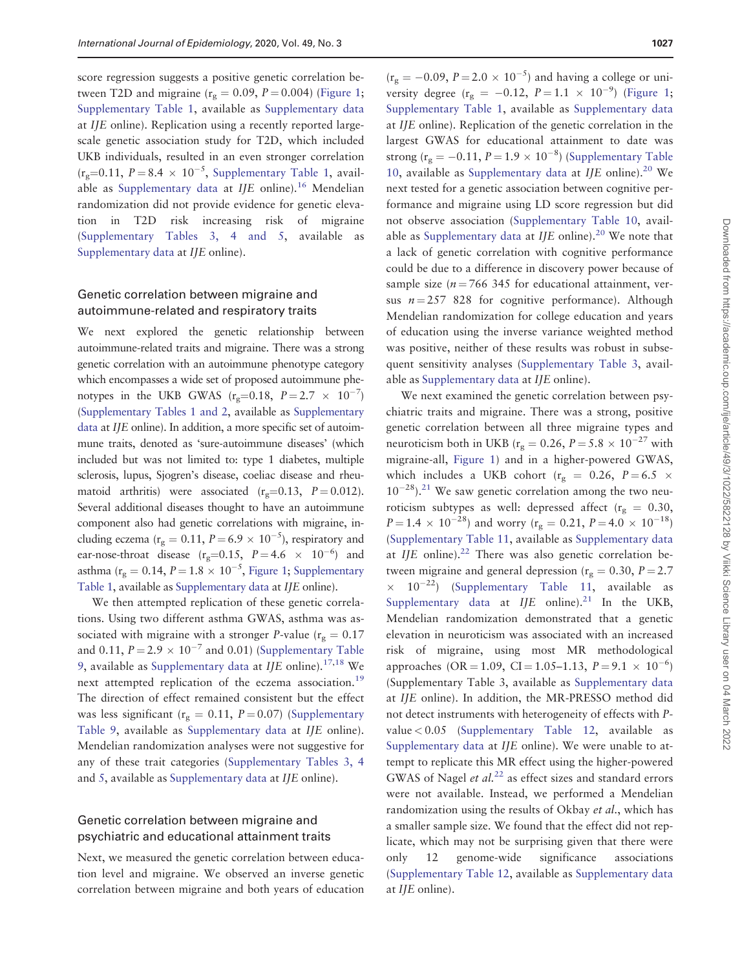score regression suggests a positive genetic correlation between T2D and migraine ( $r_g = 0.09$ ,  $P = 0.004$ ) (Figure 1; [Supplementary Table 1](https://academic.oup.com/ije/article-lookup/doi/10.1093/ije/dyaa050#supplementary-data), available as [Supplementary data](https://academic.oup.com/ije/article-lookup/doi/10.1093/ije/dyaa050#supplementary-data) at IJE online). Replication using a recently reported largescale genetic association study for T2D, which included UKB individuals, resulted in an even stronger correlation  $(r_g=0.11, P=8.4 \times 10^{-5},$  [Supplementary Table 1,](https://academic.oup.com/ije/article-lookup/doi/10.1093/ije/dyaa050#supplementary-data) avail-able as [Supplementary data](https://academic.oup.com/ije/article-lookup/doi/10.1093/ije/dyaa050#supplementary-data) at  $I/E$  online).<sup>16</sup> Mendelian randomization did not provide evidence for genetic elevation in T2D risk increasing risk of migraine [\(Supplementary Tables 3, 4 and 5,](https://academic.oup.com/ije/article-lookup/doi/10.1093/ije/dyaa050#supplementary-data) available as [Supplementary data](https://academic.oup.com/ije/article-lookup/doi/10.1093/ije/dyaa050#supplementary-data) at IJE online).

#### Genetic correlation between migraine and autoimmune-related and respiratory traits

We next explored the genetic relationship between autoimmune-related traits and migraine. There was a strong genetic correlation with an autoimmune phenotype category which encompasses a wide set of proposed autoimmune phenotypes in the UKB GWAS  $(r_g=0.18, P=2.7 \times 10^{-7})$ [\(Supplementary Tables 1 and 2,](https://academic.oup.com/ije/article-lookup/doi/10.1093/ije/dyaa050#supplementary-data) available as [Supplementary](https://academic.oup.com/ije/article-lookup/doi/10.1093/ije/dyaa050#supplementary-data) [data](https://academic.oup.com/ije/article-lookup/doi/10.1093/ije/dyaa050#supplementary-data) at IJE online). In addition, a more specific set of autoimmune traits, denoted as 'sure-autoimmune diseases' (which included but was not limited to: type 1 diabetes, multiple sclerosis, lupus, Sjogren's disease, coeliac disease and rheumatoid arthritis) were associated  $(r<sub>g</sub>=0.13, P=0.012)$ . Several additional diseases thought to have an autoimmune component also had genetic correlations with migraine, including eczema ( $r_g = 0.11$ ,  $P = 6.9 \times 10^{-5}$ ), respiratory and ear-nose-throat disease  $(r_g=0.15, P=4.6 \times 10^{-6})$  and asthma ( $r_g = 0.14$ ,  $P = 1.8 \times 10^{-5}$ , Figure 1; [Supplementary](https://academic.oup.com/ije/article-lookup/doi/10.1093/ije/dyaa050#supplementary-data) [Table 1](https://academic.oup.com/ije/article-lookup/doi/10.1093/ije/dyaa050#supplementary-data), available as [Supplementary data](https://academic.oup.com/ije/article-lookup/doi/10.1093/ije/dyaa050#supplementary-data) at IJE online).

We then attempted replication of these genetic correlations. Using two different asthma GWAS, asthma was associated with migraine with a stronger P-value ( $r_g = 0.17$ ) and 0.11,  $P = 2.9 \times 10^{-7}$  and 0.01) [\(Supplementary Table](https://academic.oup.com/ije/article-lookup/doi/10.1093/ije/dyaa050#supplementary-data) [9](https://academic.oup.com/ije/article-lookup/doi/10.1093/ije/dyaa050#supplementary-data), available as [Supplementary data](https://academic.oup.com/ije/article-lookup/doi/10.1093/ije/dyaa050#supplementary-data) at IJE online).<sup>17,18</sup> We next attempted replication of the eczema association.<sup>19</sup> The direction of effect remained consistent but the effect was less significant ( $r_g = 0.11$ ,  $P = 0.07$ ) ([Supplementary](https://academic.oup.com/ije/article-lookup/doi/10.1093/ije/dyaa050#supplementary-data) [Table 9,](https://academic.oup.com/ije/article-lookup/doi/10.1093/ije/dyaa050#supplementary-data) available as [Supplementary data](https://academic.oup.com/ije/article-lookup/doi/10.1093/ije/dyaa050#supplementary-data) at IJE online). Mendelian randomization analyses were not suggestive for any of these trait categories [\(Supplementary Tables 3, 4](https://academic.oup.com/ije/article-lookup/doi/10.1093/ije/dyaa050#supplementary-data) and [5](https://academic.oup.com/ije/article-lookup/doi/10.1093/ije/dyaa050#supplementary-data), available as [Supplementary data](https://academic.oup.com/ije/article-lookup/doi/10.1093/ije/dyaa050#supplementary-data) at IJE online).

#### Genetic correlation between migraine and psychiatric and educational attainment traits

Next, we measured the genetic correlation between education level and migraine. We observed an inverse genetic correlation between migraine and both years of education

 $(r<sub>g</sub> = -0.09, P = 2.0 \times 10^{-5})$  and having a college or university degree ( $r_g = -0.12$ ,  $P = 1.1 \times 10^{-9}$ ) (Figure 1; [Supplementary Table 1](https://academic.oup.com/ije/article-lookup/doi/10.1093/ije/dyaa050#supplementary-data), available as [Supplementary data](https://academic.oup.com/ije/article-lookup/doi/10.1093/ije/dyaa050#supplementary-data) at IJE online). Replication of the genetic correlation in the largest GWAS for educational attainment to date was strong ( $r_g = -0.11$ ,  $P = 1.9 \times 10^{-8}$ ) [\(Supplementary Table](https://academic.oup.com/ije/article-lookup/doi/10.1093/ije/dyaa050#supplementary-data) [10](https://academic.oup.com/ije/article-lookup/doi/10.1093/ije/dyaa050#supplementary-data), available as [Supplementary data](https://academic.oup.com/ije/article-lookup/doi/10.1093/ije/dyaa050#supplementary-data) at IJE online).<sup>20</sup> We next tested for a genetic association between cognitive performance and migraine using LD score regression but did not observe association ([Supplementary Table 10,](https://academic.oup.com/ije/article-lookup/doi/10.1093/ije/dyaa050#supplementary-data) avail-able as [Supplementary data](https://academic.oup.com/ije/article-lookup/doi/10.1093/ije/dyaa050#supplementary-data) at IJE online).<sup>20</sup> We note that a lack of genetic correlation with cognitive performance could be due to a difference in discovery power because of sample size ( $n = 766$  345 for educational attainment, versus  $n = 257$  828 for cognitive performance). Although Mendelian randomization for college education and years of education using the inverse variance weighted method was positive, neither of these results was robust in subsequent sensitivity analyses [\(Supplementary Table 3](https://academic.oup.com/ije/article-lookup/doi/10.1093/ije/dyaa050#supplementary-data), available as [Supplementary data](https://academic.oup.com/ije/article-lookup/doi/10.1093/ije/dyaa050#supplementary-data) at IJE online).

We next examined the genetic correlation between psychiatric traits and migraine. There was a strong, positive genetic correlation between all three migraine types and neuroticism both in UKB ( $r_g = 0.26$ ,  $P = 5.8 \times 10^{-27}$  with migraine-all, Figure 1) and in a higher-powered GWAS, which includes a UKB cohort ( $r_g$  = 0.26, P = 6.5  $\times$  $10^{-28}$ ).<sup>21</sup> We saw genetic correlation among the two neuroticism subtypes as well: depressed affect ( $r_g = 0.30$ ,  $P = 1.4 \times 10^{-28}$ ) and worry (r<sub>g</sub> = 0.21,  $P = 4.0 \times 10^{-18}$ ) [\(Supplementary Table 11,](https://academic.oup.com/ije/article-lookup/doi/10.1093/ije/dyaa050#supplementary-data) available as [Supplementary data](https://academic.oup.com/ije/article-lookup/doi/10.1093/ije/dyaa050#supplementary-data) at IJE online). $22$  There was also genetic correlation between migraine and general depression ( $r_g = 0.30$ ,  $P = 2.7$ )  $\times$  10<sup>-22</sup>) [\(Supplementary Table 11](https://academic.oup.com/ije/article-lookup/doi/10.1093/ije/dyaa050#supplementary-data), available as [Supplementary data](https://academic.oup.com/ije/article-lookup/doi/10.1093/ije/dyaa050#supplementary-data) at  $IJE$  online).<sup>21</sup> In the UKB, Mendelian randomization demonstrated that a genetic elevation in neuroticism was associated with an increased risk of migraine, using most MR methodological approaches (OR = 1.09, CI = 1.05–1.13,  $P = 9.1 \times 10^{-6}$ ) (Supplementary Table 3, available as [Supplementary data](https://academic.oup.com/ije/article-lookup/doi/10.1093/ije/dyaa050#supplementary-data) at IJE online). In addition, the MR-PRESSO method did not detect instruments with heterogeneity of effects with Pvalue < 0.05 [\(Supplementary Table 12,](https://academic.oup.com/ije/article-lookup/doi/10.1093/ije/dyaa050#supplementary-data) available as [Supplementary data](https://academic.oup.com/ije/article-lookup/doi/10.1093/ije/dyaa050#supplementary-data) at IJE online). We were unable to attempt to replicate this MR effect using the higher-powered GWAS of Nagel *et al.*<sup>22</sup> as effect sizes and standard errors were not available. Instead, we performed a Mendelian randomization using the results of Okbay et al., which has a smaller sample size. We found that the effect did not replicate, which may not be surprising given that there were only 12 genome-wide significance associations [\(Supplementary Table 12,](https://academic.oup.com/ije/article-lookup/doi/10.1093/ije/dyaa050#supplementary-data) available as [Supplementary data](https://academic.oup.com/ije/article-lookup/doi/10.1093/ije/dyaa050#supplementary-data) at IJE online).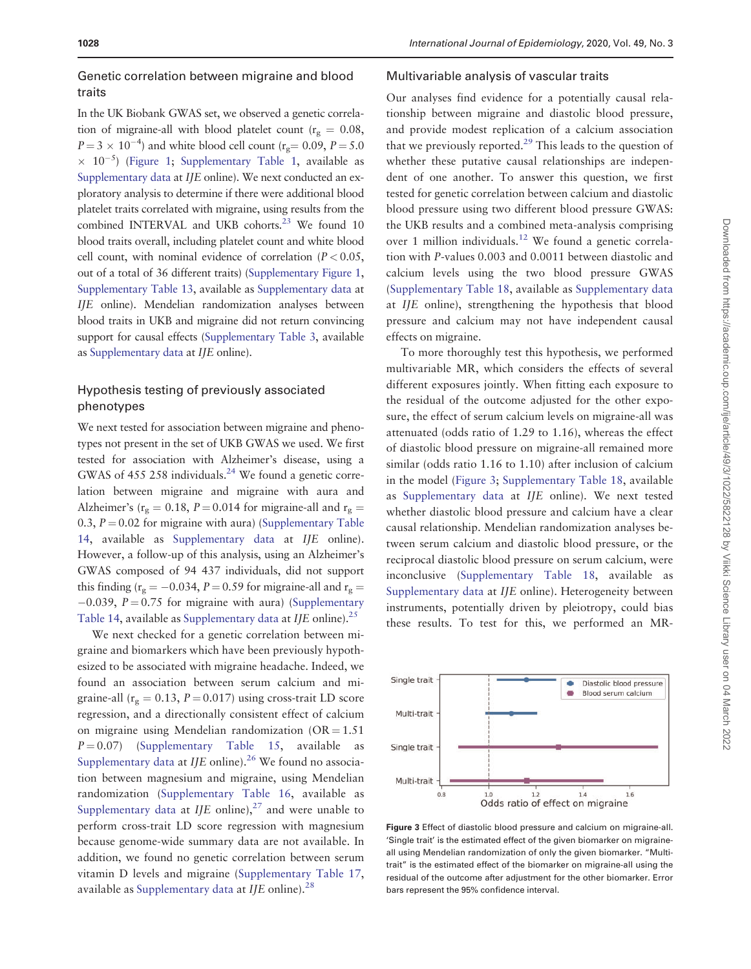#### Genetic correlation between migraine and blood traits

In the UK Biobank GWAS set, we observed a genetic correlation of migraine-all with blood platelet count ( $r_g = 0.08$ ,  $P = 3 \times 10^{-4}$ ) and white blood cell count (r<sub>g</sub>= 0.09, P = 5.0)  $\times$  10<sup>-5</sup>) (Figure 1; [Supplementary Table 1](https://academic.oup.com/ije/article-lookup/doi/10.1093/ije/dyaa050#supplementary-data), available as [Supplementary data](https://academic.oup.com/ije/article-lookup/doi/10.1093/ije/dyaa050#supplementary-data) at IJE online). We next conducted an exploratory analysis to determine if there were additional blood platelet traits correlated with migraine, using results from the combined INTERVAL and UKB cohorts.<sup>23</sup> We found 10 blood traits overall, including platelet count and white blood cell count, with nominal evidence of correlation ( $P < 0.05$ , out of a total of 36 different traits) ([Supplementary Figure 1,](https://academic.oup.com/ije/article-lookup/doi/10.1093/ije/dyaa050#supplementary-data) [Supplementary Table 13,](https://academic.oup.com/ije/article-lookup/doi/10.1093/ije/dyaa050#supplementary-data) available as [Supplementary data](https://academic.oup.com/ije/article-lookup/doi/10.1093/ije/dyaa050#supplementary-data) at IJE online). Mendelian randomization analyses between blood traits in UKB and migraine did not return convincing support for causal effects [\(Supplementary Table 3](https://academic.oup.com/ije/article-lookup/doi/10.1093/ije/dyaa050#supplementary-data), available as [Supplementary data](https://academic.oup.com/ije/article-lookup/doi/10.1093/ije/dyaa050#supplementary-data) at IJE online).

#### Hypothesis testing of previously associated phenotypes

We next tested for association between migraine and phenotypes not present in the set of UKB GWAS we used. We first tested for association with Alzheimer's disease, using a GWAS of 455 258 individuals.<sup>24</sup> We found a genetic correlation between migraine and migraine with aura and Alzheimer's ( $r_g = 0.18$ ,  $P = 0.014$  for migraine-all and  $r_g =$ 0.3,  $P = 0.02$  for migraine with aura) [\(Supplementary Table](https://academic.oup.com/ije/article-lookup/doi/10.1093/ije/dyaa050#supplementary-data) [14](https://academic.oup.com/ije/article-lookup/doi/10.1093/ije/dyaa050#supplementary-data), available as [Supplementary data](https://academic.oup.com/ije/article-lookup/doi/10.1093/ije/dyaa050#supplementary-data) at IJE online). However, a follow-up of this analysis, using an Alzheimer's GWAS composed of 94 437 individuals, did not support this finding ( $r_g = -0.034$ ,  $P = 0.59$  for migraine-all and  $r_g =$  $-0.039$ ,  $P = 0.75$  for migraine with aura) ([Supplementary](https://academic.oup.com/ije/article-lookup/doi/10.1093/ije/dyaa050#supplementary-data) [Table 14,](https://academic.oup.com/ije/article-lookup/doi/10.1093/ije/dyaa050#supplementary-data) available as [Supplementary data](https://academic.oup.com/ije/article-lookup/doi/10.1093/ije/dyaa050#supplementary-data) at IJE online).<sup>25</sup>

We next checked for a genetic correlation between migraine and biomarkers which have been previously hypothesized to be associated with migraine headache. Indeed, we found an association between serum calcium and migraine-all ( $r_g = 0.13$ ,  $P = 0.017$ ) using cross-trait LD score regression, and a directionally consistent effect of calcium on migraine using Mendelian randomization  $(OR = 1.51)$  $P = 0.07$ ) [\(Supplementary Table 15,](https://academic.oup.com/ije/article-lookup/doi/10.1093/ije/dyaa050#supplementary-data) available as [Supplementary data](https://academic.oup.com/ije/article-lookup/doi/10.1093/ije/dyaa050#supplementary-data) at IJE online).<sup>26</sup> We found no association between magnesium and migraine, using Mendelian randomization [\(Supplementary Table 16](https://academic.oup.com/ije/article-lookup/doi/10.1093/ije/dyaa050#supplementary-data), available as [Supplementary data](https://academic.oup.com/ije/article-lookup/doi/10.1093/ije/dyaa050#supplementary-data) at  $I/E$  online),<sup>27</sup> and were unable to perform cross-trait LD score regression with magnesium because genome-wide summary data are not available. In addition, we found no genetic correlation between serum vitamin D levels and migraine ([Supplementary Table 17,](https://academic.oup.com/ije/article-lookup/doi/10.1093/ije/dyaa050#supplementary-data) available as [Supplementary data](https://academic.oup.com/ije/article-lookup/doi/10.1093/ije/dyaa050#supplementary-data) at  $I/E$  online).<sup>28</sup>

#### Multivariable analysis of vascular traits

Our analyses find evidence for a potentially causal relationship between migraine and diastolic blood pressure, and provide modest replication of a calcium association that we previously reported.<sup>29</sup> This leads to the question of whether these putative causal relationships are independent of one another. To answer this question, we first tested for genetic correlation between calcium and diastolic blood pressure using two different blood pressure GWAS: the UKB results and a combined meta-analysis comprising over 1 million individuals.<sup>12</sup> We found a genetic correlation with P-values 0.003 and 0.0011 between diastolic and calcium levels using the two blood pressure GWAS [\(Supplementary Table 18,](https://academic.oup.com/ije/article-lookup/doi/10.1093/ije/dyaa050#supplementary-data) available as [Supplementary data](https://academic.oup.com/ije/article-lookup/doi/10.1093/ije/dyaa050#supplementary-data) at IJE online), strengthening the hypothesis that blood pressure and calcium may not have independent causal effects on migraine.

To more thoroughly test this hypothesis, we performed multivariable MR, which considers the effects of several different exposures jointly. When fitting each exposure to the residual of the outcome adjusted for the other exposure, the effect of serum calcium levels on migraine-all was attenuated (odds ratio of 1.29 to 1.16), whereas the effect of diastolic blood pressure on migraine-all remained more similar (odds ratio 1.16 to 1.10) after inclusion of calcium in the model (Figure 3; [Supplementary Table 18](https://academic.oup.com/ije/article-lookup/doi/10.1093/ije/dyaa050#supplementary-data), available as [Supplementary data](https://academic.oup.com/ije/article-lookup/doi/10.1093/ije/dyaa050#supplementary-data) at IJE online). We next tested whether diastolic blood pressure and calcium have a clear causal relationship. Mendelian randomization analyses between serum calcium and diastolic blood pressure, or the reciprocal diastolic blood pressure on serum calcium, were inconclusive ([Supplementary Table 18](https://academic.oup.com/ije/article-lookup/doi/10.1093/ije/dyaa050#supplementary-data), available as [Supplementary data](https://academic.oup.com/ije/article-lookup/doi/10.1093/ije/dyaa050#supplementary-data) at IJE online). Heterogeneity between instruments, potentially driven by pleiotropy, could bias these results. To test for this, we performed an MR-



Figure 3 Effect of diastolic blood pressure and calcium on migraine-all. 'Single trait' is the estimated effect of the given biomarker on migraineall using Mendelian randomization of only the given biomarker. "Multitrait" is the estimated effect of the biomarker on migraine-all using the residual of the outcome after adjustment for the other biomarker. Error bars represent the 95% confidence interval.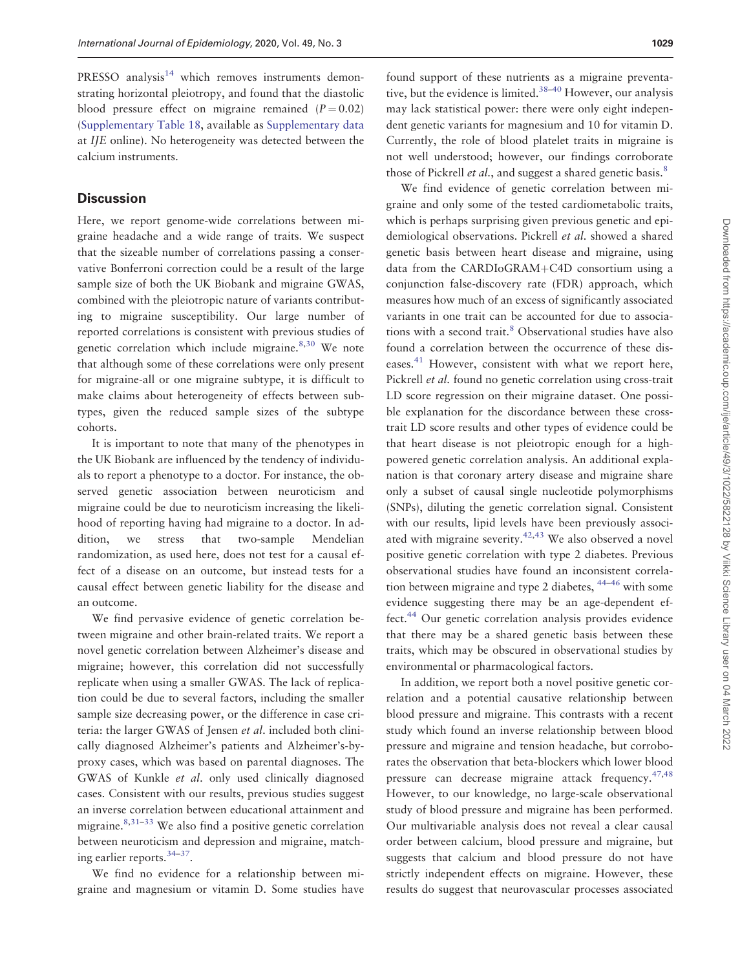PRESSO analysis $14$  which removes instruments demonstrating horizontal pleiotropy, and found that the diastolic blood pressure effect on migraine remained  $(P = 0.02)$ [\(Supplementary Table 18,](https://academic.oup.com/ije/article-lookup/doi/10.1093/ije/dyaa050#supplementary-data) available as [Supplementary data](https://academic.oup.com/ije/article-lookup/doi/10.1093/ije/dyaa050#supplementary-data) at IJE online). No heterogeneity was detected between the calcium instruments.

#### **Discussion**

Here, we report genome-wide correlations between migraine headache and a wide range of traits. We suspect that the sizeable number of correlations passing a conservative Bonferroni correction could be a result of the large sample size of both the UK Biobank and migraine GWAS, combined with the pleiotropic nature of variants contributing to migraine susceptibility. Our large number of reported correlations is consistent with previous studies of genetic correlation which include migraine.<sup>8,30</sup> We note that although some of these correlations were only present for migraine-all or one migraine subtype, it is difficult to make claims about heterogeneity of effects between subtypes, given the reduced sample sizes of the subtype cohorts.

It is important to note that many of the phenotypes in the UK Biobank are influenced by the tendency of individuals to report a phenotype to a doctor. For instance, the observed genetic association between neuroticism and migraine could be due to neuroticism increasing the likelihood of reporting having had migraine to a doctor. In addition, we stress that two-sample Mendelian randomization, as used here, does not test for a causal effect of a disease on an outcome, but instead tests for a causal effect between genetic liability for the disease and an outcome.

We find pervasive evidence of genetic correlation between migraine and other brain-related traits. We report a novel genetic correlation between Alzheimer's disease and migraine; however, this correlation did not successfully replicate when using a smaller GWAS. The lack of replication could be due to several factors, including the smaller sample size decreasing power, or the difference in case criteria: the larger GWAS of Jensen et al. included both clinically diagnosed Alzheimer's patients and Alzheimer's-byproxy cases, which was based on parental diagnoses. The GWAS of Kunkle et al. only used clinically diagnosed cases. Consistent with our results, previous studies suggest an inverse correlation between educational attainment and migraine. $8,31-33$  We also find a positive genetic correlation between neuroticism and depression and migraine, matching earlier reports.34–37.

We find no evidence for a relationship between migraine and magnesium or vitamin D. Some studies have

found support of these nutrients as a migraine preventative, but the evidence is limited. $38-40$  However, our analysis may lack statistical power: there were only eight independent genetic variants for magnesium and 10 for vitamin D. Currently, the role of blood platelet traits in migraine is not well understood; however, our findings corroborate those of Pickrell *et al.*, and suggest a shared genetic basis. $8$ 

We find evidence of genetic correlation between migraine and only some of the tested cardiometabolic traits, which is perhaps surprising given previous genetic and epidemiological observations. Pickrell et al. showed a shared genetic basis between heart disease and migraine, using data from the CARDIoGRAM+C4D consortium using a conjunction false-discovery rate (FDR) approach, which measures how much of an excess of significantly associated variants in one trait can be accounted for due to associations with a second trait.<sup>8</sup> Observational studies have also found a correlation between the occurrence of these diseases.<sup>41</sup> However, consistent with what we report here, Pickrell et al. found no genetic correlation using cross-trait LD score regression on their migraine dataset. One possible explanation for the discordance between these crosstrait LD score results and other types of evidence could be that heart disease is not pleiotropic enough for a highpowered genetic correlation analysis. An additional explanation is that coronary artery disease and migraine share only a subset of causal single nucleotide polymorphisms (SNPs), diluting the genetic correlation signal. Consistent with our results, lipid levels have been previously associated with migraine severity. $42,43$  We also observed a novel positive genetic correlation with type 2 diabetes. Previous observational studies have found an inconsistent correlation between migraine and type 2 diabetes, 44–46 with some evidence suggesting there may be an age-dependent effect.44 Our genetic correlation analysis provides evidence that there may be a shared genetic basis between these traits, which may be obscured in observational studies by environmental or pharmacological factors.

In addition, we report both a novel positive genetic correlation and a potential causative relationship between blood pressure and migraine. This contrasts with a recent study which found an inverse relationship between blood pressure and migraine and tension headache, but corroborates the observation that beta-blockers which lower blood pressure can decrease migraine attack frequency.47,48 However, to our knowledge, no large-scale observational study of blood pressure and migraine has been performed. Our multivariable analysis does not reveal a clear causal order between calcium, blood pressure and migraine, but suggests that calcium and blood pressure do not have strictly independent effects on migraine. However, these results do suggest that neurovascular processes associated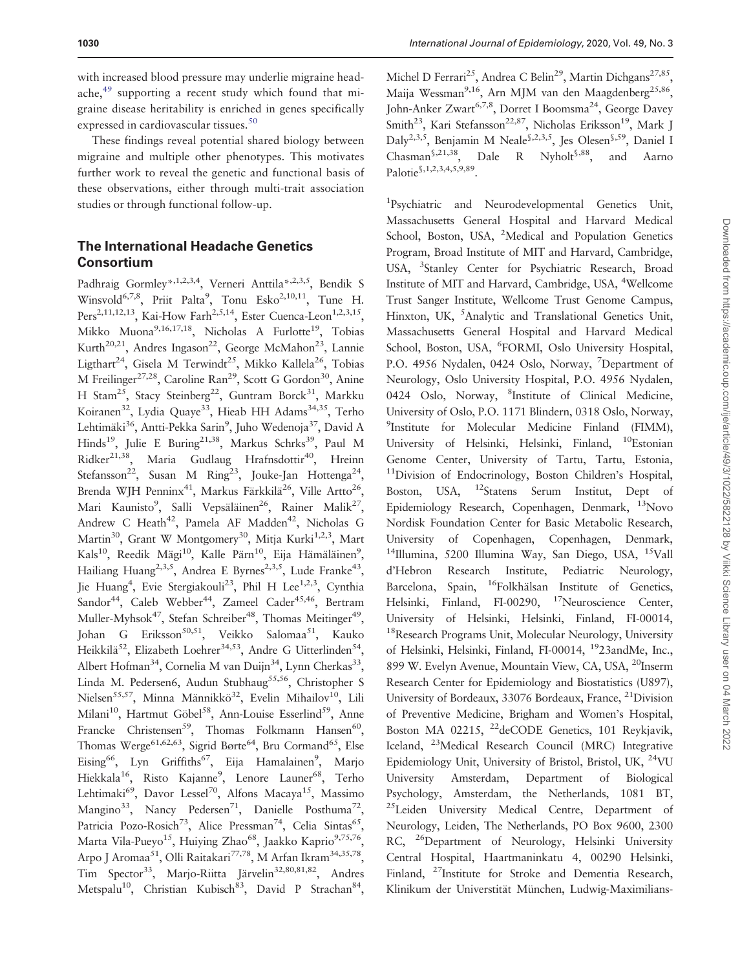with increased blood pressure may underlie migraine headache,49 supporting a recent study which found that migraine disease heritability is enriched in genes specifically expressed in cardiovascular tissues.<sup>50</sup>

These findings reveal potential shared biology between migraine and multiple other phenotypes. This motivates further work to reveal the genetic and functional basis of these observations, either through multi-trait association studies or through functional follow-up.

#### The International Headache Genetics Consortium

Padhraig Gormley\*,1,2,3,4, Verneri Anttila\*,2,3,5, Bendik S Winsvold<sup>6,7,8</sup>, Priit Palta<sup>9</sup>, Tonu Esko<sup>2,10,11</sup>, Tune H. Pers<sup>2,11,12,13</sup>, Kai-How Farh<sup>2,5,14</sup>, Ester Cuenca-Leon<sup>1,2,3,15</sup>, Mikko Muona<sup>9,16,17,18</sup>, Nicholas A Furlotte<sup>19</sup>, Tobias Kurth<sup>20,21</sup>, Andres Ingason<sup>22</sup>, George McMahon<sup>23</sup>, Lannie Ligthart<sup>24</sup>, Gisela M Terwindt<sup>25</sup>, Mikko Kallela<sup>26</sup>, Tobias M Freilinger<sup>27,28</sup>, Caroline Ran<sup>29</sup>, Scott G Gordon<sup>30</sup>, Anine H Stam<sup>25</sup>, Stacy Steinberg<sup>22</sup>, Guntram Borck<sup>31</sup>, Markku Koiranen<sup>32</sup>, Lydia Quaye<sup>33</sup>, Hieab HH Adams<sup>34,35</sup>, Terho Lehtimäki<sup>36</sup>, Antti-Pekka Sarin<sup>9</sup>, Juho Wedenoja<sup>37</sup>, David A Hinds<sup>19</sup>, Julie E Buring<sup>21,38</sup>, Markus Schrks<sup>39</sup>, Paul M Ridker<sup>21,38</sup>, Maria Gudlaug Hrafnsdottir<sup>40</sup>, Hreinn Stefansson<sup>22</sup>, Susan M Ring<sup>23</sup>, Jouke-Jan Hottenga<sup>24</sup>, Brenda WJH Penninx<sup>41</sup>, Markus Färkkilä<sup>26</sup>, Ville Artto<sup>26</sup>, Mari Kaunisto<sup>9</sup>, Salli Vepsäläinen<sup>26</sup>, Rainer Malik<sup>27</sup>, Andrew C Heath<sup>42</sup>, Pamela AF Madden<sup>42</sup>, Nicholas G Martin<sup>30</sup>, Grant W Montgomery<sup>30</sup>, Mitja Kurki<sup>1,2,3</sup>, Mart Kals<sup>10</sup>, Reedik Mägi<sup>10</sup>, Kalle Pärn<sup>10</sup>, Eija Hämäläinen<sup>9</sup>, Hailiang Huang<sup>2,3,5</sup>, Andrea E Byrnes<sup>2,3,5</sup>, Lude Franke<sup>43</sup>, Jie Huang<sup>4</sup>, Evie Stergiakouli<sup>23</sup>, Phil H Lee<sup>1,2,3</sup>, Cynthia Sandor<sup>44</sup>, Caleb Webber<sup>44</sup>, Zameel Cader<sup>45,46</sup>, Bertram Muller-Myhsok<sup>47</sup>, Stefan Schreiber<sup>48</sup>, Thomas Meitinger<sup>49</sup>, Johan G Eriksson<sup>50,51</sup>, Veikko Salomaa<sup>51</sup>, Kauko Heikkilä<sup>52</sup>, Elizabeth Loehrer<sup>34,53</sup>, Andre G Uitterlinden<sup>54</sup>, Albert Hofman<sup>34</sup>, Cornelia M van Duijn<sup>34</sup>, Lynn Cherkas<sup>33</sup>, Linda M. Pedersen6, Audun Stubhaug<sup>55,56</sup>, Christopher S Nielsen<sup>55,57</sup>, Minna Männikkö<sup>32</sup>, Evelin Mihailov<sup>10</sup>, Lili Milani<sup>10</sup>, Hartmut Göbel<sup>58</sup>, Ann-Louise Esserlind<sup>59</sup>, Anne Francke Christensen<sup>59</sup>, Thomas Folkmann Hansen<sup>60</sup>, Thomas Werge<sup>61,62,63</sup>, Sigrid Børte<sup>64</sup>, Bru Cormand<sup>65</sup>, Else Eising<sup>66</sup>, Lyn Griffiths<sup>67</sup>, Eija Hamalainen<sup>9</sup>, Marjo Hiekkala<sup>16</sup>, Risto Kajanne<sup>9</sup>, Lenore Launer<sup>68</sup>, Terho Lehtimaki<sup>69</sup>, Davor Lessel<sup>70</sup>, Alfons Macaya<sup>15</sup>, Massimo Mangino<sup>33</sup>, Nancy Pedersen<sup>71</sup>, Danielle Posthuma<sup>72</sup>. Patricia Pozo-Rosich<sup>73</sup>, Alice Pressman<sup>74</sup>, Celia Sintas<sup>65</sup>, Marta Vila-Pueyo<sup>15</sup>, Huiying Zhao<sup>68</sup>, Jaakko Kaprio<sup>9,75,76</sup> Arpo J Aromaa<sup>51</sup>, Olli Raitakari<sup>77,78</sup>, M Arfan Ikram<sup>34,35,78</sup>, Tim Spector<sup>33</sup>, Marjo-Riitta Järvelin<sup>32,80,81,82</sup>, Andres Metspalu<sup>10</sup>, Christian Kubisch<sup>83</sup>, David P Strachan<sup>84</sup>,

Michel D Ferrari<sup>25</sup>, Andrea C Belin<sup>29</sup>, Martin Dichgans<sup>27,85</sup>. Maija Wessman<sup>9,16</sup>, Arn MJM van den Maagdenberg<sup>25,86</sup>, John-Anker Zwart<sup>6,7,8</sup>, Dorret I Boomsma<sup>24</sup>, George Davey Smith<sup>23</sup>, Kari Stefansson<sup>22,87</sup>, Nicholas Eriksson<sup>19</sup>, Mark J Daly2,3,5, Benjamin M Neale§,2,3,5, Jes Olesen§,59, Daniel I Chasman§,21,38, Dale R Nyholt§,88, and Aarno Palotie§,1,2,3,4,5,9,89.

<sup>1</sup>Psychiatric and Neurodevelopmental Genetics Unit, Massachusetts General Hospital and Harvard Medical School, Boston, USA, <sup>2</sup>Medical and Population Genetics Program, Broad Institute of MIT and Harvard, Cambridge, USA, <sup>3</sup>Stanley Center for Psychiatric Research, Broad Institute of MIT and Harvard, Cambridge, USA, <sup>4</sup> Wellcome Trust Sanger Institute, Wellcome Trust Genome Campus, Hinxton, UK, <sup>5</sup>Analytic and Translational Genetics Unit, Massachusetts General Hospital and Harvard Medical School, Boston, USA, <sup>6</sup>FORMI, Oslo University Hospital, P.O. 4956 Nydalen, 0424 Oslo, Norway, <sup>7</sup>Department of Neurology, Oslo University Hospital, P.O. 4956 Nydalen, 0424 Oslo, Norway, <sup>8</sup>Institute of Clinical Medicine, University of Oslo, P.O. 1171 Blindern, 0318 Oslo, Norway, <sup>9</sup>Institute for Molecular Medicine Finland (FIMM), University of Helsinki, Helsinki, Finland, 10Estonian Genome Center, University of Tartu, Tartu, Estonia, <sup>11</sup>Division of Endocrinology, Boston Children's Hospital, Boston, USA, 12Statens Serum Institut, Dept of Epidemiology Research, Copenhagen, Denmark, 13Novo Nordisk Foundation Center for Basic Metabolic Research, University of Copenhagen, Copenhagen, Denmark, <sup>14</sup>Illumina, 5200 Illumina Way, San Diego, USA, <sup>15</sup>Vall d'Hebron Research Institute, Pediatric Neurology, Barcelona, Spain, <sup>16</sup>Folkhälsan Institute of Genetics, Helsinki, Finland, FI-00290, <sup>17</sup>Neuroscience Center, University of Helsinki, Helsinki, Finland, FI-00014, <sup>18</sup>Research Programs Unit, Molecular Neurology, University of Helsinki, Helsinki, Finland, FI-00014, 1923andMe, Inc., 899 W. Evelyn Avenue, Mountain View, CA, USA, <sup>20</sup>Inserm Research Center for Epidemiology and Biostatistics (U897), University of Bordeaux, 33076 Bordeaux, France, 21Division of Preventive Medicine, Brigham and Women's Hospital, Boston MA 02215, <sup>22</sup>deCODE Genetics, 101 Reykjavik, Iceland, 23Medical Research Council (MRC) Integrative Epidemiology Unit, University of Bristol, Bristol, UK, 24VU University Amsterdam, Department of Biological Psychology, Amsterdam, the Netherlands, 1081 BT, <sup>25</sup>Leiden University Medical Centre, Department of Neurology, Leiden, The Netherlands, PO Box 9600, 2300 RC, <sup>26</sup>Department of Neurology, Helsinki University Central Hospital, Haartmaninkatu 4, 00290 Helsinki, Finland, <sup>27</sup>Institute for Stroke and Dementia Research, Klinikum der Universtität München, Ludwig-Maximilians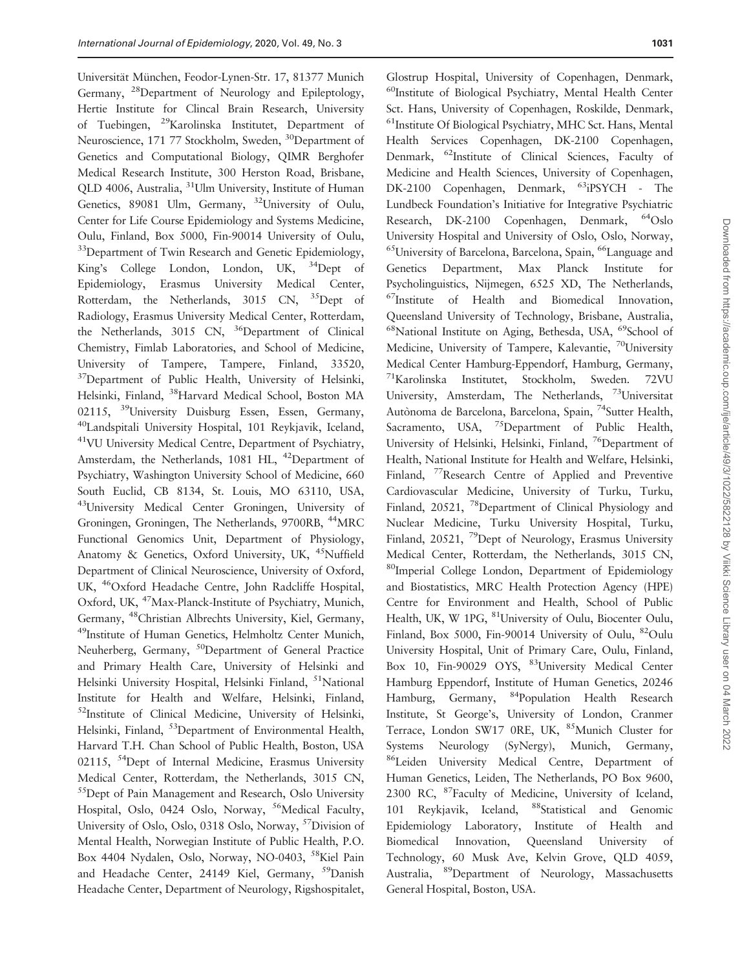Universität München, Feodor-Lynen-Str. 17, 81377 Munich Germany, 28Department of Neurology and Epileptology, Hertie Institute for Clincal Brain Research, University of Tuebingen, 29Karolinska Institutet, Department of Neuroscience, 171 77 Stockholm, Sweden, <sup>30</sup>Department of Genetics and Computational Biology, QIMR Berghofer Medical Research Institute, 300 Herston Road, Brisbane, QLD 4006, Australia, 31Ulm University, Institute of Human Genetics, 89081 Ulm, Germany, 32University of Oulu, Center for Life Course Epidemiology and Systems Medicine, Oulu, Finland, Box 5000, Fin-90014 University of Oulu, <sup>33</sup>Department of Twin Research and Genetic Epidemiology, King's College London, London, UK, 34Dept of Epidemiology, Erasmus University Medical Center, Rotterdam, the Netherlands, 3015 CN, <sup>35</sup>Dept of Radiology, Erasmus University Medical Center, Rotterdam, the Netherlands, 3015 CN, <sup>36</sup>Department of Clinical Chemistry, Fimlab Laboratories, and School of Medicine, University of Tampere, Tampere, Finland, 33520, <sup>37</sup>Department of Public Health, University of Helsinki, Helsinki, Finland, 38Harvard Medical School, Boston MA 02115, <sup>39</sup>University Duisburg Essen, Essen, Germany, 40Landspitali University Hospital, 101 Reykjavik, Iceland, 41VU University Medical Centre, Department of Psychiatry, Amsterdam, the Netherlands, 1081 HL, <sup>42</sup>Department of Psychiatry, Washington University School of Medicine, 660 South Euclid, CB 8134, St. Louis, MO 63110, USA, 43University Medical Center Groningen, University of Groningen, Groningen, The Netherlands, 9700RB, 44MRC Functional Genomics Unit, Department of Physiology, Anatomy & Genetics, Oxford University, UK, <sup>45</sup>Nuffield Department of Clinical Neuroscience, University of Oxford, UK, 46Oxford Headache Centre, John Radcliffe Hospital, Oxford, UK, 47Max-Planck-Institute of Psychiatry, Munich, Germany, 48Christian Albrechts University, Kiel, Germany, 49Institute of Human Genetics, Helmholtz Center Munich, Neuherberg, Germany, <sup>50</sup>Department of General Practice and Primary Health Care, University of Helsinki and Helsinki University Hospital, Helsinki Finland, <sup>51</sup>National Institute for Health and Welfare, Helsinki, Finland, <sup>52</sup>Institute of Clinical Medicine, University of Helsinki, Helsinki, Finland, <sup>53</sup>Department of Environmental Health, Harvard T.H. Chan School of Public Health, Boston, USA 02115, <sup>54</sup>Dept of Internal Medicine, Erasmus University Medical Center, Rotterdam, the Netherlands, 3015 CN, 55Dept of Pain Management and Research, Oslo University Hospital, Oslo, 0424 Oslo, Norway, <sup>56</sup>Medical Faculty, University of Oslo, Oslo, 0318 Oslo, Norway, 57Division of Mental Health, Norwegian Institute of Public Health, P.O. Box 4404 Nydalen, Oslo, Norway, NO-0403, 58Kiel Pain and Headache Center, 24149 Kiel, Germany, <sup>59</sup>Danish Headache Center, Department of Neurology, Rigshospitalet,

Glostrup Hospital, University of Copenhagen, Denmark, 60Institute of Biological Psychiatry, Mental Health Center Sct. Hans, University of Copenhagen, Roskilde, Denmark, <sup>61</sup>Institute Of Biological Psychiatry, MHC Sct. Hans, Mental Health Services Copenhagen, DK-2100 Copenhagen, Denmark, 62Institute of Clinical Sciences, Faculty of Medicine and Health Sciences, University of Copenhagen, DK-2100 Copenhagen, Denmark, 63iPSYCH - The Lundbeck Foundation's Initiative for Integrative Psychiatric Research, DK-2100 Copenhagen, Denmark, 64Oslo University Hospital and University of Oslo, Oslo, Norway, <sup>65</sup>University of Barcelona, Barcelona, Spain, <sup>66</sup>Language and Genetics Department, Max Planck Institute for Psycholinguistics, Nijmegen, 6525 XD, The Netherlands, 67Institute of Health and Biomedical Innovation, Queensland University of Technology, Brisbane, Australia, <sup>68</sup>National Institute on Aging, Bethesda, USA, <sup>69</sup>School of Medicine, University of Tampere, Kalevantie, <sup>70</sup>University Medical Center Hamburg-Eppendorf, Hamburg, Germany, 71Karolinska Institutet, Stockholm, Sweden. 72VU University, Amsterdam, The Netherlands, 73Universitat Autònoma de Barcelona, Barcelona, Spain, <sup>74</sup>Sutter Health, Sacramento, USA, <sup>75</sup>Department of Public Health, University of Helsinki, Helsinki, Finland, <sup>76</sup>Department of Health, National Institute for Health and Welfare, Helsinki, Finland, <sup>77</sup>Research Centre of Applied and Preventive Cardiovascular Medicine, University of Turku, Turku, Finland, 20521, <sup>78</sup>Department of Clinical Physiology and Nuclear Medicine, Turku University Hospital, Turku, Finland, 20521, <sup>79</sup>Dept of Neurology, Erasmus University Medical Center, Rotterdam, the Netherlands, 3015 CN, 80Imperial College London, Department of Epidemiology and Biostatistics, MRC Health Protection Agency (HPE) Centre for Environment and Health, School of Public Health, UK, W 1PG, <sup>81</sup>University of Oulu, Biocenter Oulu, Finland, Box 5000, Fin-90014 University of Oulu, <sup>82</sup>Oulu University Hospital, Unit of Primary Care, Oulu, Finland, Box 10, Fin-90029 OYS, <sup>83</sup>University Medical Center Hamburg Eppendorf, Institute of Human Genetics, 20246 Hamburg, Germany, 84Population Health Research Institute, St George's, University of London, Cranmer Terrace, London SW17 0RE, UK, <sup>85</sup>Munich Cluster for Systems Neurology (SyNergy), Munich, Germany, 86Leiden University Medical Centre, Department of Human Genetics, Leiden, The Netherlands, PO Box 9600, 2300 RC, 87Faculty of Medicine, University of Iceland, 101 Reykjavik, Iceland, <sup>88</sup>Statistical and Genomic Epidemiology Laboratory, Institute of Health and Biomedical Innovation, Queensland University of Technology, 60 Musk Ave, Kelvin Grove, QLD 4059, Australia, 89Department of Neurology, Massachusetts General Hospital, Boston, USA.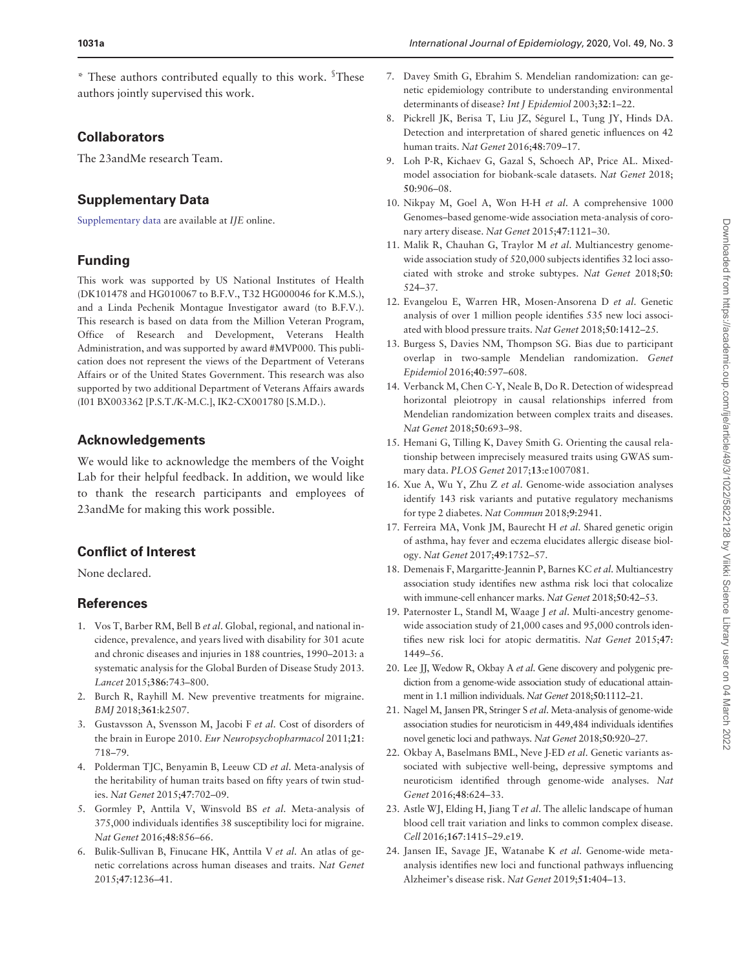\* These authors contributed equally to this work. § These authors jointly supervised this work.

# **Collaborators**

The 23andMe research Team.

# Supplementary Data

[Supplementary data](https://academic.oup.com/ije/article-lookup/doi/10.1093/ije/dyaa050#supplementary-data) are available at IJE online.

# Funding

This work was supported by US National Institutes of Health (DK101478 and HG010067 to B.F.V., T32 HG000046 for K.M.S.), and a Linda Pechenik Montague Investigator award (to B.F.V.). This research is based on data from the Million Veteran Program, Office of Research and Development, Veterans Health Administration, and was supported by award #MVP000. This publication does not represent the views of the Department of Veterans Affairs or of the United States Government. This research was also supported by two additional Department of Veterans Affairs awards (I01 BX003362 [P.S.T./K-M.C.], IK2-CX001780 [S.M.D.).

## Acknowledgements

We would like to acknowledge the members of the Voight Lab for their helpful feedback. In addition, we would like to thank the research participants and employees of 23andMe for making this work possible.

# Conflict of Interest

None declared.

## References

- 1. Vos T, Barber RM, Bell B et al. Global, regional, and national incidence, prevalence, and years lived with disability for 301 acute and chronic diseases and injuries in 188 countries, 1990–2013: a systematic analysis for the Global Burden of Disease Study 2013. Lancet 2015;386:743–800.
- 2. Burch R, Rayhill M. New preventive treatments for migraine. BMJ 2018;361:k2507.
- 3. Gustavsson A, Svensson M, Jacobi F et al. Cost of disorders of the brain in Europe 2010. Eur Neuropsychopharmacol 2011;21: 718–79.
- 4. Polderman TJC, Benyamin B, Leeuw CD et al. Meta-analysis of the heritability of human traits based on fifty years of twin studies. Nat Genet 2015;47:702–09.
- 5. Gormley P, Anttila V, Winsvold BS et al. Meta-analysis of 375,000 individuals identifies 38 susceptibility loci for migraine. Nat Genet 2016;48:856–66.
- 6. Bulik-Sullivan B, Finucane HK, Anttila V et al. An atlas of genetic correlations across human diseases and traits. Nat Genet 2015;47:1236–41.
- 7. Davey Smith G, Ebrahim S. Mendelian randomization: can genetic epidemiology contribute to understanding environmental determinants of disease? Int J Epidemiol 2003;32:1–22.
- 8. Pickrell JK, Berisa T, Liu JZ, Ségurel L, Tung JY, Hinds DA. Detection and interpretation of shared genetic influences on 42 human traits. Nat Genet 2016;48:709–17.
- 9. Loh P-R, Kichaev G, Gazal S, Schoech AP, Price AL. Mixedmodel association for biobank-scale datasets. Nat Genet 2018; 50:906–08.
- 10. Nikpay M, Goel A, Won H-H et al. A comprehensive 1000 Genomes–based genome-wide association meta-analysis of coronary artery disease. Nat Genet 2015;47:1121–30.
- 11. Malik R, Chauhan G, Traylor M et al. Multiancestry genomewide association study of 520,000 subjects identifies 32 loci associated with stroke and stroke subtypes. Nat Genet 2018;50: 524–37.
- 12. Evangelou E, Warren HR, Mosen-Ansorena D et al. Genetic analysis of over 1 million people identifies 535 new loci associated with blood pressure traits. Nat Genet 2018;50:1412–25.
- 13. Burgess S, Davies NM, Thompson SG. Bias due to participant overlap in two-sample Mendelian randomization. Genet Epidemiol 2016;40:597–608.
- 14. Verbanck M, Chen C-Y, Neale B, Do R. Detection of widespread horizontal pleiotropy in causal relationships inferred from Mendelian randomization between complex traits and diseases. Nat Genet 2018;50:693–98.
- 15. Hemani G, Tilling K, Davey Smith G. Orienting the causal relationship between imprecisely measured traits using GWAS summary data. PLOS Genet 2017;13:e1007081.
- 16. Xue A, Wu Y, Zhu Z et al. Genome-wide association analyses identify 143 risk variants and putative regulatory mechanisms for type 2 diabetes. Nat Commun 2018;9:2941.
- 17. Ferreira MA, Vonk JM, Baurecht H et al. Shared genetic origin of asthma, hay fever and eczema elucidates allergic disease biology. Nat Genet 2017;49:1752–57.
- 18. Demenais F, Margaritte-Jeannin P, Barnes KC et al. Multiancestry association study identifies new asthma risk loci that colocalize with immune-cell enhancer marks. Nat Genet 2018;50:42–53.
- 19. Paternoster L, Standl M, Waage J et al. Multi-ancestry genomewide association study of 21,000 cases and 95,000 controls identifies new risk loci for atopic dermatitis. Nat Genet 2015;47: 1449–56.
- 20. Lee JJ, Wedow R, Okbay A et al. Gene discovery and polygenic prediction from a genome-wide association study of educational attainment in 1.1 million individuals. Nat Genet 2018;50:1112–21.
- 21. Nagel M, Jansen PR, Stringer S et al. Meta-analysis of genome-wide association studies for neuroticism in 449,484 individuals identifies novel genetic loci and pathways. Nat Genet 2018;50:920–27.
- 22. Okbay A, Baselmans BML, Neve J-ED et al. Genetic variants associated with subjective well-being, depressive symptoms and neuroticism identified through genome-wide analyses. Nat Genet 2016;48:624–33.
- 23. Astle WJ, Elding H, Jiang T et al. The allelic landscape of human blood cell trait variation and links to common complex disease. Cell 2016;167:1415–29.e19.
- 24. Jansen IE, Savage JE, Watanabe K et al. Genome-wide metaanalysis identifies new loci and functional pathways influencing Alzheimer's disease risk. Nat Genet 2019;51:404–13.